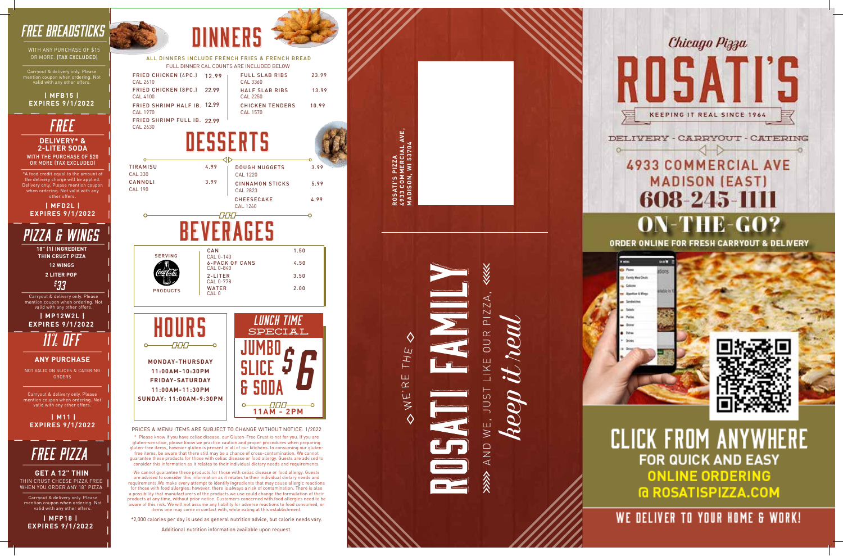PRICES & MENU ITEMS ARE SUBJECT TO CHANGE WITHOUT NOTICE. 1/2022

\* Please know if you have celiac disease, our Gluten-Free Crust is not for you. If you are gluten-sensitive, please know we practice caution and proper procedures when preparing gluten-free items, however gluten is present in all of our kitchens. In consuming our glutenfree items, be aware that there still may be a chance of cross-contamination. We cannot guarantee these products for those with celiac disease or food allergy. Guests are advised to consider this information as it relates to their individual dietary needs and requirements.

| <b>TIRAMISU</b><br><b>CAL 330</b> | 4.99                             | <b>DOUGH NUGGETS</b><br><b>CAL 1220</b>   | 3.99 |
|-----------------------------------|----------------------------------|-------------------------------------------|------|
| CANNOLI<br><b>CAL 190</b>         | 3.99                             | <b>CINNAMON STICKS</b><br><b>CAL 2823</b> | 5.99 |
|                                   |                                  | <b>CHEESECAKE</b><br><b>CAL 1260</b>      | 4.99 |
|                                   |                                  |                                           |      |
|                                   |                                  |                                           |      |
| <b>SERVING</b>                    | CAN<br>CAL 0-140                 |                                           | 1.50 |
|                                   | CAL 0-840                        | <b>6-PACK OF CANS</b>                     | 4.50 |
|                                   | 2-LITER<br>CAL 0-778             |                                           | 3.50 |
| <b>PRODUCTS</b>                   | <b>WATER</b><br>CAL <sub>0</sub> |                                           | 2.00 |

\*2,000 calories per day is used as general nutrition advice, but calorie needs vary.

ALL DINNERS INCLUDE FRENCH FRIES & FRENCH BREAD FULL DINNER CAL COUNTS ARE INCLUDED BELOW

23.99

13.99

**DINNFRS** 

#### WITH THE PURCHASE OF \$20 OR MORE (TAX EXCLUDED) **DELIVERY\* & 2-LITER SODA** *free*

Additional nutrition information available upon request.

**ROSATI'S PIZZA**

**4933 COMMERCIAL AVE, MADISON, WI 53704**

AVE,



# 608-245-1111 ON-THE-GO?

ORDER ONLINE FOR FRESH CARRYOUT & DELIVERY



**CLICK FROM ANYWHERE FOR QUICK AND EASY ONLINE ORDERING G ROSATISPIZZA.COM** 

### WE DELIVER TO YOUR HOME & WORK!



THE Ш  $\propto$ H. EN

*free Pizza*

THIN CRUST CHEESE PIZZA FREE WHEN YOU ORDER ANY 18" PIZZ A **GET A 12" THIN**

Carryout & delivery only. Please mention coupon when ordering. Not valid with any other offers.

|                                         | T OLL DINNEN OAL OOONTJ ANL INOLODED DELOW |       |
|-----------------------------------------|--------------------------------------------|-------|
| FRIED CHICKEN (4PC.) 12 99<br>CAL 2610  | <b>FULL SLAB RIBS</b><br>CAL 3360          | 23.99 |
| FRIED CHICKEN (8PC.) 22.99<br>CAL 4100  | <b>HALF SLAB RIBS</b><br>CAL 2250          | 13.99 |
| FRIED SHRIMP HALF IB. 12.99<br>CAL 1970 | <b>CHICKEN TENDERS</b><br>CAL 1570         | 10.99 |
| FRIED SHRIMP FULL IB. 22 99<br>CAL 2630 |                                            |       |

# DESSERTS

**| MFP18 | EXPIRES 9/1/2022**



 **| M11 | EXPIRES 9/1/2022**

Carryout & delivery only. Please mention coupon when ordering. Not valid with any other offers.

*11% OFF*

NOT VALID ON SLICES & CATERING ORDERS

#### **ANY PURCHASE**



\*A food credit equal to the amount of the delivery charge will be applied. Delivery only. Please mention coupon when ordering. Not valid with any other offers .

**| MFD2L | EXPIRES 9/1/2022**

### *FREE BREADSTICKS*

WITH ANY PURCHASE OF \$15 OR MORE. (TAX EXCLUDED)

mention coupon when ordering. Not valid with any other offers.



## *PIZZA & WINGS*

**18" (1) INGREDIENT THIN CRUST PIZZA**

> **2 LITER POP** *\$ 33*

**12 WINGS**

Carryout & delivery only. Please mention coupon when ordering. No valid with any other offers.

 **| MP12W2L | EXPIRES 9/1/2022**

> We cannot guarantee these products for those with celiac disease or food allergy. Guests are advised to consider this information as it relates to their individual dietary needs and requirements.We make every attempt to identify ingredients that may cause allergic reactions for those with food allergies; however, there is always a risk of contamination. There is also a possibility that manufacturers of the products we use could change the formulation of their products at any time, without prior notice. Customers concerned with food allergies need to be aware of this risk. We will not assume any liability for adverse reactions to food consumed, or items one may come in contact with, while eating at this establishment.